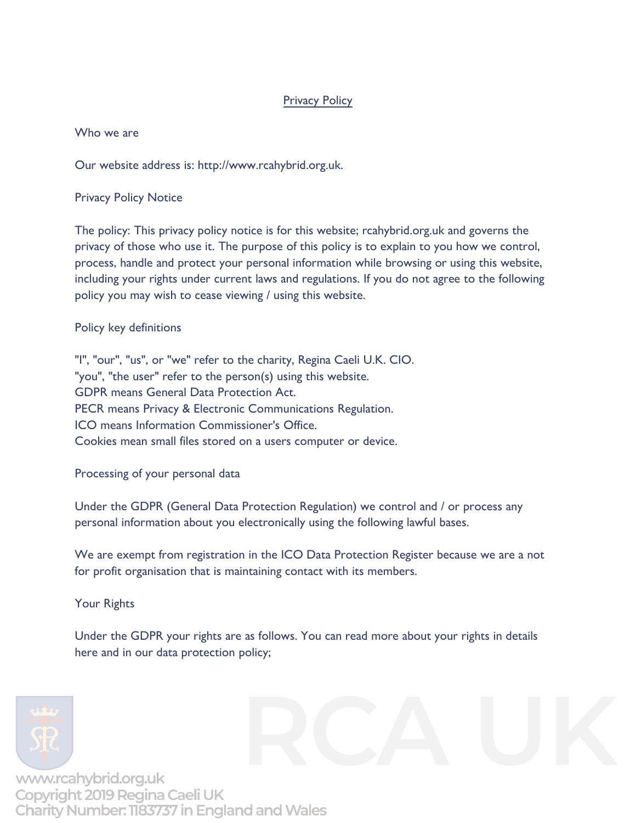## **Privacy Policy**

Who we are

Our website address is: http://www.rcahybrid.org.uk.

Privacy Policy Notice

The policy: This privacy policy notice is for this website; rcahybrid.org.uk and governs the privacy of those who use it. The purpose of this policy is to explain to you how we control, process, handle and protect your personal information while browsing or using this website, including your rights under current laws and regulations. If you do not agree to the following policy you may wish to cease viewing / using this website.

## Policy key definitions

"I", "our", "us", or "we" refer to the charity, Regina Caeli U.K. CIO. "you", "the user" refer to the person(s) using this website. GDPR means General Data Protection Act. PECR means Privacy & Electronic Communications Regulation. ICO means Information Commissioner's Office. Cookies mean small files stored on a users computer or device.

Processing of your personal data

Under the GDPR (General Data Protection Regulation) we control and / or process any personal information about you electronically using the following lawful bases.

We are exempt from registration in the ICO Data Protection Register because we are a not for profit organisation that is maintaining contact with its members.

Your Rights

Under the GDPR your rights are as follows. You can read more about your rights in details here and in our data protection policy;



www.rcahybrid.org.uk Copyright 2019 Regina Caeli UK Charity Number: 1183737 in England and Wales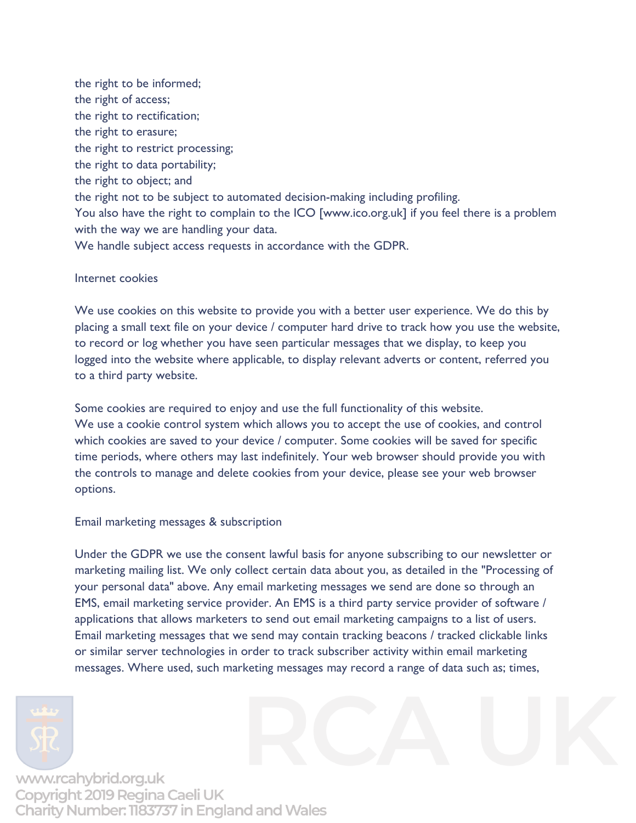the right to be informed; the right of access; the right to rectification; the right to erasure; the right to restrict processing; the right to data portability; the right to object; and the right not to be subject to automated decision-making including profiling. You also have the right to complain to the ICO [www.ico.org.uk] if you feel there is a problem with the way we are handling your data. We handle subject access requests in accordance with the GDPR.

Internet cookies

We use cookies on this website to provide you with a better user experience. We do this by placing a small text file on your device / computer hard drive to track how you use the website, to record or log whether you have seen particular messages that we display, to keep you logged into the website where applicable, to display relevant adverts or content, referred you to a third party website.

Some cookies are required to enjoy and use the full functionality of this website. We use a cookie control system which allows you to accept the use of cookies, and control which cookies are saved to your device / computer. Some cookies will be saved for specific time periods, where others may last indefinitely. Your web browser should provide you with the controls to manage and delete cookies from your device, please see your web browser options.

Email marketing messages & subscription

Under the GDPR we use the consent lawful basis for anyone subscribing to our newsletter or marketing mailing list. We only collect certain data about you, as detailed in the "Processing of your personal data" above. Any email marketing messages we send are done so through an EMS, email marketing service provider. An EMS is a third party service provider of software / applications that allows marketers to send out email marketing campaigns to a list of users. Email marketing messages that we send may contain tracking beacons / tracked clickable links or similar server technologies in order to track subscriber activity within email marketing messages. Where used, such marketing messages may record a range of data such as; times,



www.rcahybrid.org.uk Copyright 2019 Regina Caeli UK Charity Number: 1183737 in England and Wales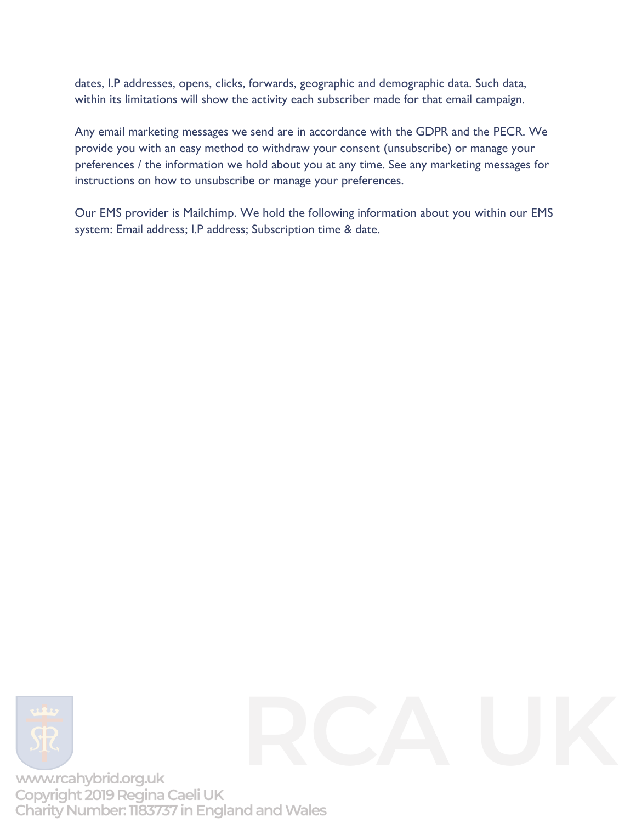dates, I.P addresses, opens, clicks, forwards, geographic and demographic data. Such data, within its limitations will show the activity each subscriber made for that email campaign.

Any email marketing messages we send are in accordance with the GDPR and the PECR. We provide you with an easy method to withdraw your consent (unsubscribe) or manage your preferences / the information we hold about you at any time. See any marketing messages for instructions on how to unsubscribe or manage your preferences.

Our EMS provider is Mailchimp. We hold the following information about you within our EMS system: Email address; I.P address; Subscription time & date.





www.rcahybrid.org.uk Copyright 2019 Regina Caeli UK Charity Number: 1183737 in England and Wales